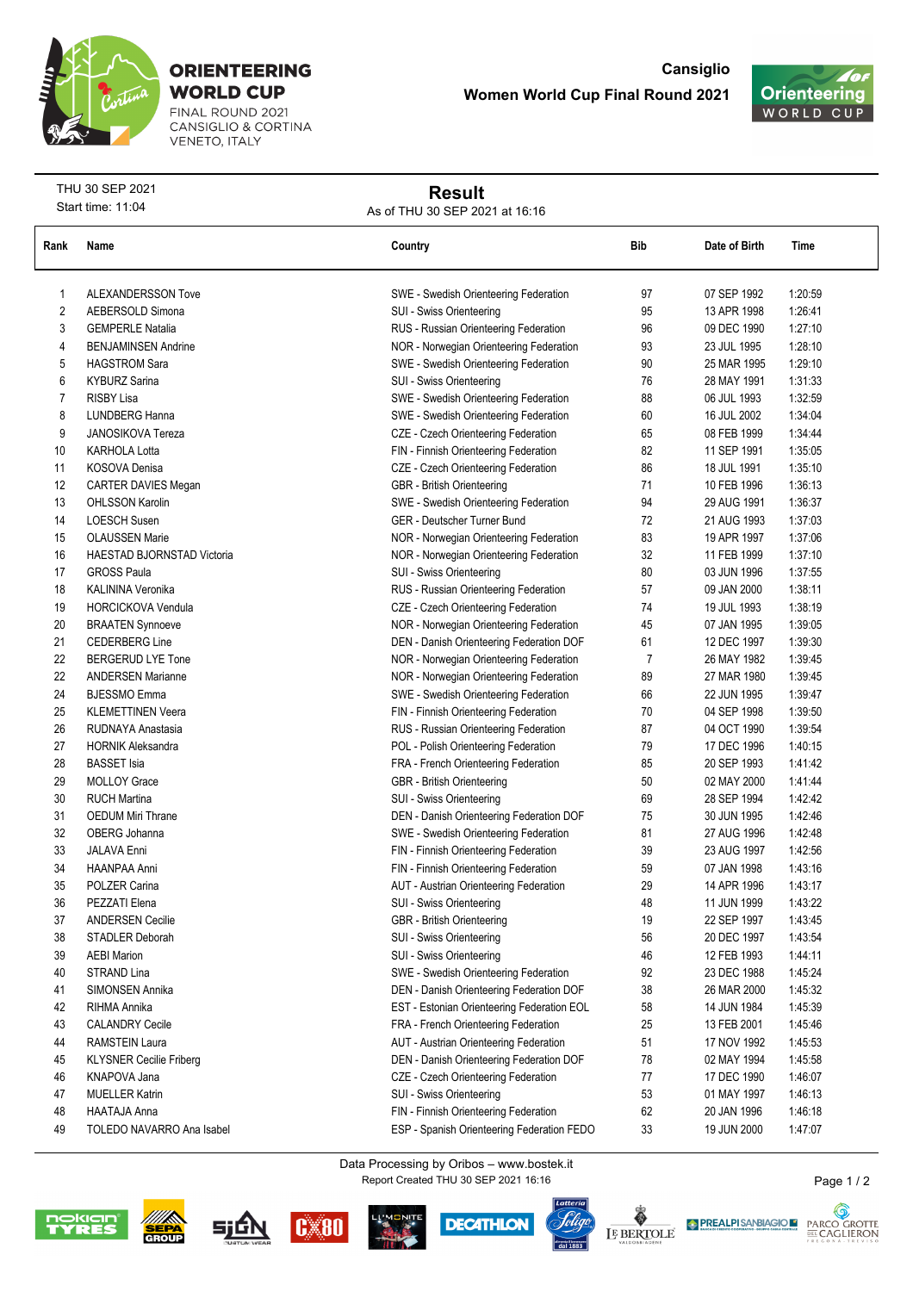

## **ORIENTEERING WORLD CUP**

FINAL ROUND 2021<br>CANSIGLIO & CORTINA **VENETO, ITALY** 



THU 30 SEP 2021 Start time: 11:04

## **Result**

As of THU 30 SEP 2021 at 16:16

| Rank           | Name                           | Country                                    | Bib | Date of Birth | Time    |
|----------------|--------------------------------|--------------------------------------------|-----|---------------|---------|
| 1              | <b>ALEXANDERSSON Tove</b>      | SWE - Swedish Orienteering Federation      | 97  | 07 SEP 1992   | 1:20:59 |
| 2              | AEBERSOLD Simona               | SUI - Swiss Orienteering                   | 95  | 13 APR 1998   | 1:26:41 |
| 3              | <b>GEMPERLE Natalia</b>        | RUS - Russian Orienteering Federation      | 96  | 09 DEC 1990   | 1:27:10 |
| 4              | <b>BENJAMINSEN Andrine</b>     | NOR - Norwegian Orienteering Federation    | 93  | 23 JUL 1995   | 1:28:10 |
| 5              | <b>HAGSTROM Sara</b>           | SWE - Swedish Orienteering Federation      | 90  | 25 MAR 1995   | 1:29:10 |
| 6              | <b>KYBURZ Sarina</b>           | SUI - Swiss Orienteering                   | 76  | 28 MAY 1991   | 1:31:33 |
| $\overline{7}$ | <b>RISBY Lisa</b>              | SWE - Swedish Orienteering Federation      | 88  | 06 JUL 1993   | 1:32:59 |
| 8              | LUNDBERG Hanna                 | SWE - Swedish Orienteering Federation      | 60  | 16 JUL 2002   | 1:34:04 |
| 9              | <b>JANOSIKOVA Tereza</b>       | CZE - Czech Orienteering Federation        | 65  | 08 FEB 1999   | 1:34:44 |
| 10             | <b>KARHOLA Lotta</b>           | FIN - Finnish Orienteering Federation      | 82  | 11 SEP 1991   | 1:35:05 |
| 11             | KOSOVA Denisa                  | CZE - Czech Orienteering Federation        | 86  | 18 JUL 1991   | 1:35:10 |
| 12             | CARTER DAVIES Megan            | GBR - British Orienteering                 | 71  | 10 FEB 1996   | 1:36:13 |
| 13             | <b>OHLSSON Karolin</b>         | SWE - Swedish Orienteering Federation      | 94  | 29 AUG 1991   | 1:36:37 |
| 14             | <b>LOESCH Susen</b>            | GER - Deutscher Turner Bund                | 72  | 21 AUG 1993   | 1:37:03 |
| 15             | <b>OLAUSSEN Marie</b>          | NOR - Norwegian Orienteering Federation    | 83  | 19 APR 1997   | 1:37:06 |
| 16             | HAESTAD BJORNSTAD Victoria     | NOR - Norwegian Orienteering Federation    | 32  | 11 FEB 1999   | 1:37:10 |
| 17             | <b>GROSS Paula</b>             | SUI - Swiss Orienteering                   | 80  | 03 JUN 1996   | 1:37:55 |
| 18             | KALININA Veronika              | RUS - Russian Orienteering Federation      | 57  | 09 JAN 2000   | 1:38:11 |
| 19             | <b>HORCICKOVA Vendula</b>      | CZE - Czech Orienteering Federation        | 74  | 19 JUL 1993   | 1:38:19 |
| 20             | <b>BRAATEN Synnoeve</b>        | NOR - Norwegian Orienteering Federation    | 45  | 07 JAN 1995   | 1:39:05 |
| 21             | <b>CEDERBERG Line</b>          | DEN - Danish Orienteering Federation DOF   | 61  | 12 DEC 1997   | 1:39:30 |
| 22             | <b>BERGERUD LYE Tone</b>       | NOR - Norwegian Orienteering Federation    | 7   | 26 MAY 1982   | 1:39:45 |
| 22             | <b>ANDERSEN Marianne</b>       | NOR - Norwegian Orienteering Federation    | 89  | 27 MAR 1980   | 1:39:45 |
| 24             | <b>BJESSMO</b> Emma            | SWE - Swedish Orienteering Federation      | 66  | 22 JUN 1995   | 1:39:47 |
| 25             | <b>KLEMETTINEN Veera</b>       | FIN - Finnish Orienteering Federation      | 70  | 04 SEP 1998   | 1:39:50 |
| 26             | RUDNAYA Anastasia              | RUS - Russian Orienteering Federation      | 87  | 04 OCT 1990   | 1:39:54 |
| 27             | <b>HORNIK Aleksandra</b>       | POL - Polish Orienteering Federation       | 79  | 17 DEC 1996   | 1:40:15 |
| 28             | <b>BASSET</b> Isia             | FRA - French Orienteering Federation       | 85  | 20 SEP 1993   | 14142   |
| 29             | <b>MOLLOY Grace</b>            | GBR - British Orienteering                 | 50  | 02 MAY 2000   | 14144   |
| 30             | <b>RUCH Martina</b>            | SUI - Swiss Orienteering                   | 69  | 28 SEP 1994   | 1:42:42 |
| 31             | <b>OEDUM Miri Thrane</b>       | DEN - Danish Orienteering Federation DOF   | 75  | 30 JUN 1995   | 1.42.46 |
| 32             | OBERG Johanna                  | SWE - Swedish Orienteering Federation      | 81  | 27 AUG 1996   | 1:42:48 |
| 33             | <b>JALAVA Enni</b>             | FIN - Finnish Orienteering Federation      | 39  | 23 AUG 1997   | 1:42:56 |
| 34             | HAANPAA Anni                   | FIN - Finnish Orienteering Federation      | 59  | 07 JAN 1998   | 1:43:16 |
| 35             | POLZER Carina                  | AUT - Austrian Orienteering Federation     | 29  | 14 APR 1996   | 1.43:17 |
| 36             | PEZZATI Elena                  | SUI - Swiss Orienteering                   | 48  | 11 JUN 1999   | 1.43.22 |
| 37             | <b>ANDERSEN Cecilie</b>        | <b>GBR</b> - British Orienteering          | 19  | 22 SEP 1997   | 1.43.45 |
| 38             | STADLER Deborah                | SUI - Swiss Orienteering                   | 56  | 20 DEC 1997   | 1:43:54 |
| 39             | <b>AEBI Marion</b>             | SUI - Swiss Orienteering                   | 46  | 12 FEB 1993   | 1:44:11 |
| 40             | STRAND Lina                    | SWE - Swedish Orienteering Federation      | 92  | 23 DEC 1988   | 1:45:24 |
| 41             | SIMONSEN Annika                | DEN - Danish Orienteering Federation DOF   | 38  | 26 MAR 2000   | 1.45.32 |
| 42             | RIHMA Annika                   | EST - Estonian Orienteering Federation EOL | 58  | 14 JUN 1984   | 1:45:39 |
| 43             | <b>CALANDRY Cecile</b>         | FRA - French Orienteering Federation       | 25  | 13 FEB 2001   | 1.45.46 |
| 44             | <b>RAMSTEIN Laura</b>          | AUT - Austrian Orienteering Federation     | 51  | 17 NOV 1992   | 1:45:53 |
| 45             | <b>KLYSNER Cecilie Friberg</b> | DEN - Danish Orienteering Federation DOF   | 78  | 02 MAY 1994   | 1:45:58 |
| 46             | KNAPOVA Jana                   | CZE - Czech Orienteering Federation        | 77  | 17 DEC 1990   | 1:46:07 |
| 47             | <b>MUELLER Katrin</b>          | SUI - Swiss Orienteering                   | 53  | 01 MAY 1997   | 1.46:13 |
| 48             | HAATAJA Anna                   | FIN - Finnish Orienteering Federation      | 62  | 20 JAN 1996   | 1:46:18 |
| 49             | TOLEDO NAVARRO Ana Isabel      | ESP - Spanish Orienteering Federation FEDO | 33  | 19 JUN 2000   | 1:47:07 |

Report Created THU 30 SEP 2021 16:16 Data Processing by Oribos – www.bostek.it









al 1883







Page 1 / 2